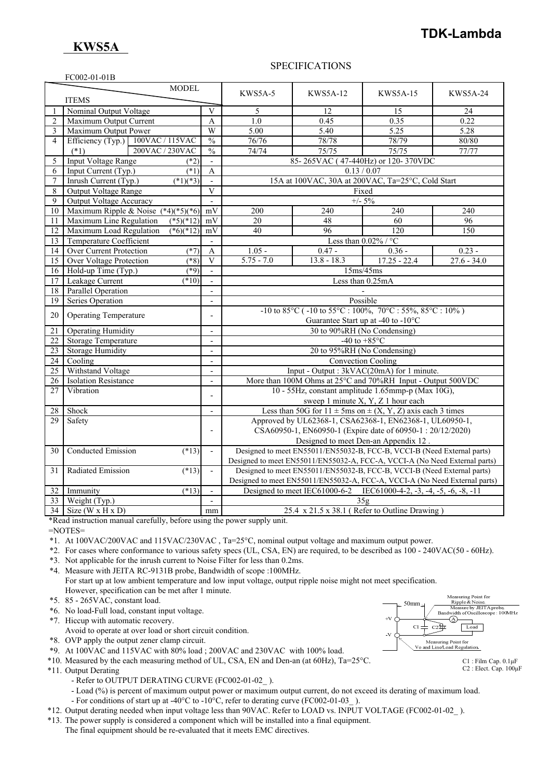# **TDK-Lambda**

# **KWS5A**

FC002-01-01B

### SPECIFICATIONS

|                 | $1 \text{C}002 - 01 - 011$             |                              |                                                                                                                   |                                                                            |                                                        |                 |
|-----------------|----------------------------------------|------------------------------|-------------------------------------------------------------------------------------------------------------------|----------------------------------------------------------------------------|--------------------------------------------------------|-----------------|
| <b>MODEL</b>    |                                        |                              | KWS5A-5                                                                                                           | <b>KWS5A-12</b>                                                            | <b>KWS5A-15</b>                                        | <b>KWS5A-24</b> |
| <b>ITEMS</b>    |                                        |                              |                                                                                                                   |                                                                            |                                                        |                 |
|                 | Nominal Output Voltage                 | $\overline{V}$               | 5                                                                                                                 | 12                                                                         | 15                                                     | 24              |
| $\overline{2}$  | Maximum Output Current                 | A                            | 1.0                                                                                                               | 0.45                                                                       | 0.35                                                   | 0.22            |
| 3               | Maximum Output Power                   | W                            | 5.00                                                                                                              | $\overline{5.40}$                                                          | $\overline{5.25}$                                      | 5.28            |
| 4               | Efficiency (Typ.) 100VAC / 115VAC      | $\frac{0}{0}$                | 76/76                                                                                                             | 78/78                                                                      | 78/79                                                  | 80/80           |
|                 | 200VAC / 230VAC<br>$(*1)$              | $\frac{0}{0}$                | 74/74                                                                                                             | 75/75                                                                      | 75/75                                                  | 77/77           |
| 5               | <b>Input Voltage Range</b><br>$(*2)$   | $\blacksquare$               |                                                                                                                   | 85-265VAC (47-440Hz) or 120-370VDC                                         |                                                        |                 |
| 6               | Input Current (Typ.)<br>$(*1)$         | $\mathbf{A}$                 | 0.13 / 0.07                                                                                                       |                                                                            |                                                        |                 |
| 7               | Inrush Current (Typ.)<br>$(*1)(*3)$    | $\bar{\phantom{a}}$          | 15A at 100VAC, 30A at 200VAC, Ta=25°C, Cold Start                                                                 |                                                                            |                                                        |                 |
| 8               | <b>Output Voltage Range</b>            | $\mathbf{V}$                 | Fixed                                                                                                             |                                                                            |                                                        |                 |
| 9               | Output Voltage Accuracy                |                              | $+/- 5\%$                                                                                                         |                                                                            |                                                        |                 |
| 10              | Maximum Ripple & Noise $(*4)(*5)(*6)$  | mV                           | 200                                                                                                               | 240                                                                        | 240                                                    | 240             |
| 11              | Maximum Line Regulation<br>$(*5)(*12)$ | mV                           | 20                                                                                                                | 48                                                                         | 60                                                     | 96              |
| 12              | Maximum Load Regulation<br>$(*6)(*12)$ | mV                           | 40                                                                                                                | 96                                                                         | 120                                                    | 150             |
| 13              | Temperature Coefficient                |                              |                                                                                                                   |                                                                            | Less than $0.02\%$ / °C                                |                 |
| 14              | Over Current Protection<br>$(*7)$      | $\mathbf{A}$                 | $1.05 -$                                                                                                          | $0.47 -$                                                                   | $0.36 -$                                               | $0.23 -$        |
| 15              | Over Voltage Protection<br>$(*8)$      | V                            | $5.75 - 7.0$                                                                                                      | $13.8 - 18.3$                                                              | $17.25 - 22.4$                                         | $27.6 - 34.0$   |
| 16              | Hold-up Time (Typ.)<br>$(*9)$          | $\overline{\phantom{a}}$     | 15ms/45ms                                                                                                         |                                                                            |                                                        |                 |
| 17              | Leakage Current<br>$(*10)$             | $\overline{a}$               | Less than 0.25mA                                                                                                  |                                                                            |                                                        |                 |
| 18              | Parallel Operation                     | $\overline{\phantom{a}}$     |                                                                                                                   |                                                                            |                                                        |                 |
| 19              | Series Operation                       | $\overline{\phantom{a}}$     | Possible                                                                                                          |                                                                            |                                                        |                 |
| 20              | <b>Operating Temperature</b>           | $\overline{a}$               | $-10$ to $85^{\circ}$ C ( $-10$ to $55^{\circ}$ C : $100\%$ , $70^{\circ}$ C : $55\%$ , $85^{\circ}$ C : $10\%$ ) |                                                                            |                                                        |                 |
|                 |                                        |                              | Guarantee Start up at -40 to -10°C                                                                                |                                                                            |                                                        |                 |
| 21              | <b>Operating Humidity</b>              | $\overline{\phantom{a}}$     | 30 to 90%RH (No Condensing)                                                                                       |                                                                            |                                                        |                 |
| 22              | <b>Storage Temperature</b>             | $\overline{\phantom{a}}$     | -40 to $+85^{\circ}$ C                                                                                            |                                                                            |                                                        |                 |
| 23              | <b>Storage Humidity</b>                | $\overline{\phantom{a}}$     | 20 to 95%RH (No Condensing)                                                                                       |                                                                            |                                                        |                 |
| 24              | Cooling                                | $\overline{\phantom{a}}$     | <b>Convection Cooling</b>                                                                                         |                                                                            |                                                        |                 |
| $\overline{25}$ | Withstand Voltage                      | $\overline{\phantom{a}}$     | Input - Output : 3kVAC(20mA) for 1 minute.                                                                        |                                                                            |                                                        |                 |
| 26              | <b>Isolation Resistance</b>            | $\frac{1}{2}$                | More than 100M Ohms at 25°C and 70%RH Input - Output 500VDC                                                       |                                                                            |                                                        |                 |
| 27              | Vibration                              | $\qquad \qquad \blacksquare$ | 10 - 55Hz, constant amplitude 1.65mmp-p (Max 10G),                                                                |                                                                            |                                                        |                 |
|                 |                                        |                              | sweep 1 minute X, Y, Z 1 hour each                                                                                |                                                                            |                                                        |                 |
| 28              | Shock                                  | $\blacksquare$               | Less than 50G for $11 \pm 5$ ms on $\pm (X, Y, Z)$ axis each 3 times                                              |                                                                            |                                                        |                 |
| 29              | Safety                                 |                              | Approved by UL62368-1, CSA62368-1, EN62368-1, UL60950-1,                                                          |                                                                            |                                                        |                 |
|                 |                                        | $\overline{\phantom{m}}$     | CSA60950-1, EN60950-1 (Expire date of 60950-1:20/12/2020)                                                         |                                                                            |                                                        |                 |
|                 |                                        |                              |                                                                                                                   | Designed to meet Den-an Appendix 12.                                       |                                                        |                 |
| 30              | <b>Conducted Emission</b><br>$(*13)$   | $\overline{\phantom{a}}$     | Designed to meet EN55011/EN55032-B, FCC-B, VCCI-B (Need External parts)                                           |                                                                            |                                                        |                 |
|                 |                                        |                              | Designed to meet EN55011/EN55032-A, FCC-A, VCCI-A (No Need External parts)                                        |                                                                            |                                                        |                 |
| 31              | Radiated Emission<br>$(*13)$           | $\overline{\phantom{a}}$     | Designed to meet EN55011/EN55032-B, FCC-B, VCCI-B (Need External parts)                                           |                                                                            |                                                        |                 |
|                 |                                        |                              |                                                                                                                   | Designed to meet EN55011/EN55032-A, FCC-A, VCCI-A (No Need External parts) |                                                        |                 |
| 32              | Immunity<br>$(*13)$                    |                              |                                                                                                                   | Designed to meet IEC61000-6-2                                              | IEC61000-4-2, $-3$ , $-4$ , $-5$ , $-6$ , $-8$ , $-11$ |                 |
| 33              | Weight (Typ.)                          | $\overline{\phantom{a}}$     | 35 <sub>g</sub>                                                                                                   |                                                                            |                                                        |                 |
| 34              | Size (W x H x D)                       | mm                           | 25.4 x 21.5 x 38.1 (Refer to Outline Drawing)                                                                     |                                                                            |                                                        |                 |

\*Read instruction manual carefully, before using the power supply unit.

=NOTES=

\*1. At 100VAC/200VAC and 115VAC/230VAC , Ta=25°C, nominal output voltage and maximum output power.

\*2. For cases where conformance to various safety specs (UL, CSA, EN) are required, to be described as 100 - 240VAC(50 - 60Hz).

\*3. Not applicable for the inrush current to Noise Filter for less than 0.2ms.

\*4. Measure with JEITA RC-9131B probe, Bandwidth of scope :100MHz. For start up at low ambient temperature and low input voltage, output ripple noise might not meet specification. However, specification can be met after 1 minute.

\*5. 85 - 265VAC, constant load.

\*6. No load-Full load, constant input voltage.

\*7. Hiccup with automatic recovery.

Avoid to operate at over load or short circuit condition.

\*8. OVP apply the output zener clamp circuit.

- \*9. At 100VAC and 115VAC with 80% load ; 200VAC and 230VAC with 100% load.
- \*10. Measured by the each measuring method of UL, CSA, EN and Den-an (at 60Hz), Ta=25°C.

\*11. Output Derating

- Refer to OUTPUT DERATING CURVE (FC002-01-02).

 - Load (%) is percent of maximum output power or maximum output current, do not exceed its derating of maximum load. - For conditions of start up at -40°C to -10°C, refer to derating curve (FC002-01-03).

- \*12. Output derating needed when input voltage less than 90VAC. Refer to LOAD vs. INPUT VOLTAGE (FC002-01-02\_ ).
- \*13. The power supply is considered a component which will be installed into a final equipment.

The final equipment should be re-evaluated that it meets EMC directives.



C1 : Film Cap. 0.1μF C2 : Elect. Cap. 100μF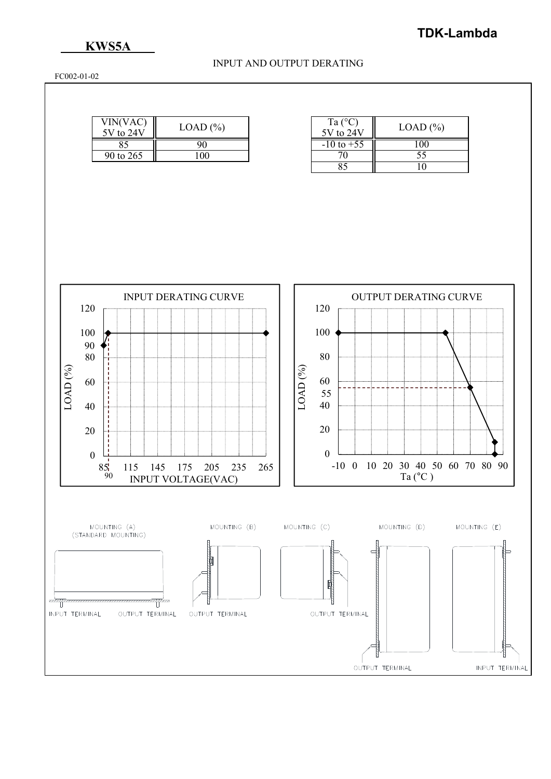### **KWS5A**

### INPUT AND OUTPUT DERATING

FC002-01-02

| VIN(VAC)<br>$5V$ to $24V$ | $LOAD (\% )$ |  |
|---------------------------|--------------|--|
|                           |              |  |
| 90 to 265                 |              |  |

| Ta $(^{\circ}C)$<br>$5V$ to $24V$ | $LOAD$ $%$ |
|-----------------------------------|------------|
| $-10$ to $+55$                    |            |
| 70                                | 55         |
|                                   |            |